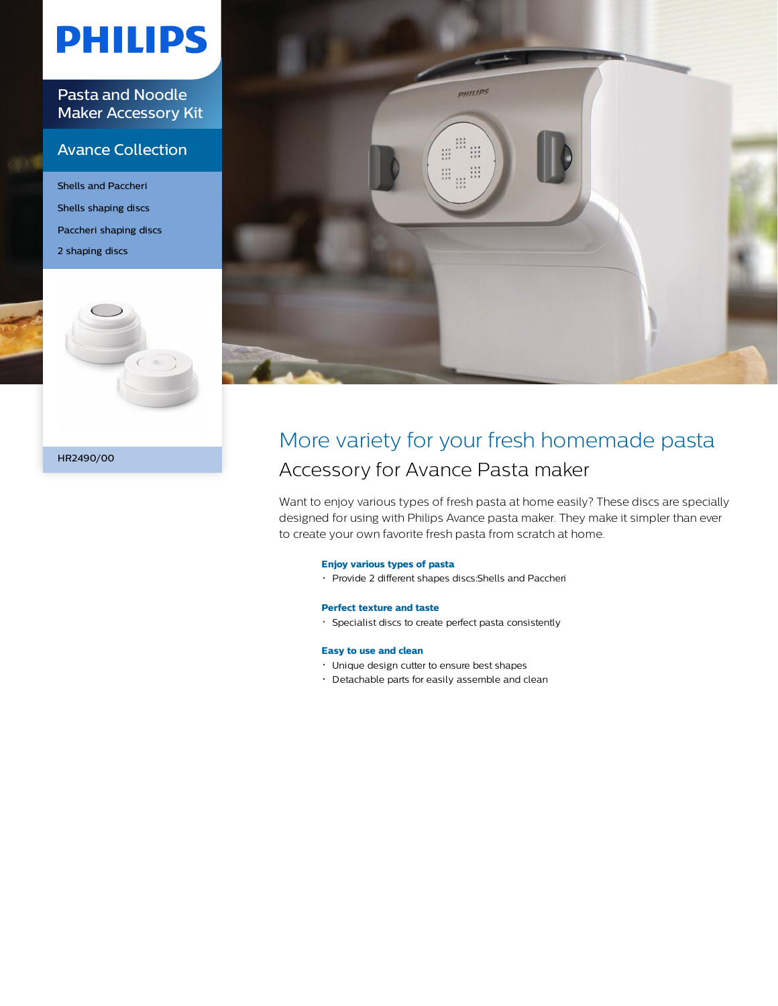# **PHILIPS**

Pasta and Noodle Maker Accessory Kit

### Avance Collection

Shells and Paccheri Shells shaping discs Paccheri shaping discs 2 shaping discs



HR2490/00



### More variety for your fresh homemade pasta Accessory for Avance Pasta maker

Want to enjoy various types of fresh pasta at home easily? These discs are specially designed for using with Philips Avance pasta maker. They make it simpler than ever to create your own favorite fresh pasta from scratch at home.

#### **Enjoy various types of pasta**

Provide 2 different shapes discs:Shells and Paccheri

#### **Perfect texture and taste**

Specialist discs to create perfect pasta consistently

#### **Easy to use and clean**

- Unique design cutter to ensure best shapes
- Detachable parts for easily assemble and clean